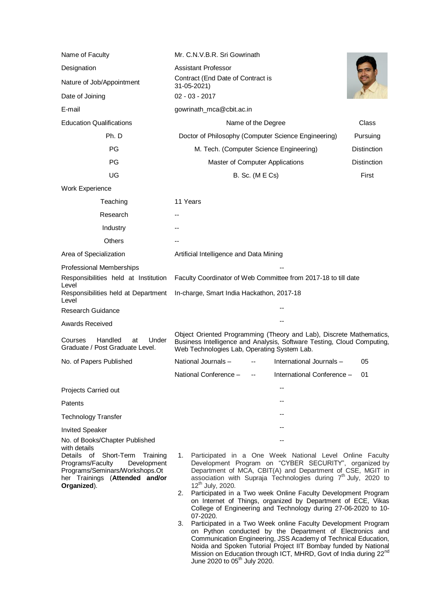| Name of Faculty                                                                                                                                                                                                                                                                                                                                                        | Mr. C.N.V.B.R. Sri Gowrinath<br>Assistant Professor<br>Contract (End Date of Contract is<br>31-05-2021)                                                                                                                                                                                                                                                                                                                                                                                                                                                                                                                                                                                                                                                                                                                                                                                                                      |                    |
|------------------------------------------------------------------------------------------------------------------------------------------------------------------------------------------------------------------------------------------------------------------------------------------------------------------------------------------------------------------------|------------------------------------------------------------------------------------------------------------------------------------------------------------------------------------------------------------------------------------------------------------------------------------------------------------------------------------------------------------------------------------------------------------------------------------------------------------------------------------------------------------------------------------------------------------------------------------------------------------------------------------------------------------------------------------------------------------------------------------------------------------------------------------------------------------------------------------------------------------------------------------------------------------------------------|--------------------|
| Designation                                                                                                                                                                                                                                                                                                                                                            |                                                                                                                                                                                                                                                                                                                                                                                                                                                                                                                                                                                                                                                                                                                                                                                                                                                                                                                              |                    |
| Nature of Job/Appointment                                                                                                                                                                                                                                                                                                                                              |                                                                                                                                                                                                                                                                                                                                                                                                                                                                                                                                                                                                                                                                                                                                                                                                                                                                                                                              |                    |
| Date of Joining                                                                                                                                                                                                                                                                                                                                                        | $02 - 03 - 2017$                                                                                                                                                                                                                                                                                                                                                                                                                                                                                                                                                                                                                                                                                                                                                                                                                                                                                                             |                    |
| E-mail                                                                                                                                                                                                                                                                                                                                                                 | gowrinath_mca@cbit.ac.in                                                                                                                                                                                                                                                                                                                                                                                                                                                                                                                                                                                                                                                                                                                                                                                                                                                                                                     |                    |
| <b>Education Qualifications</b>                                                                                                                                                                                                                                                                                                                                        | Name of the Degree                                                                                                                                                                                                                                                                                                                                                                                                                                                                                                                                                                                                                                                                                                                                                                                                                                                                                                           | Class              |
| Ph. D                                                                                                                                                                                                                                                                                                                                                                  | Doctor of Philosophy (Computer Science Engineering)                                                                                                                                                                                                                                                                                                                                                                                                                                                                                                                                                                                                                                                                                                                                                                                                                                                                          | Pursuing           |
| PG                                                                                                                                                                                                                                                                                                                                                                     | M. Tech. (Computer Science Engineering)                                                                                                                                                                                                                                                                                                                                                                                                                                                                                                                                                                                                                                                                                                                                                                                                                                                                                      | <b>Distinction</b> |
| PG                                                                                                                                                                                                                                                                                                                                                                     | Master of Computer Applications                                                                                                                                                                                                                                                                                                                                                                                                                                                                                                                                                                                                                                                                                                                                                                                                                                                                                              | <b>Distinction</b> |
| UG                                                                                                                                                                                                                                                                                                                                                                     | <b>B.</b> Sc. (M E Cs)                                                                                                                                                                                                                                                                                                                                                                                                                                                                                                                                                                                                                                                                                                                                                                                                                                                                                                       | First              |
| Work Experience                                                                                                                                                                                                                                                                                                                                                        |                                                                                                                                                                                                                                                                                                                                                                                                                                                                                                                                                                                                                                                                                                                                                                                                                                                                                                                              |                    |
| Teaching                                                                                                                                                                                                                                                                                                                                                               | 11 Years                                                                                                                                                                                                                                                                                                                                                                                                                                                                                                                                                                                                                                                                                                                                                                                                                                                                                                                     |                    |
| Research                                                                                                                                                                                                                                                                                                                                                               |                                                                                                                                                                                                                                                                                                                                                                                                                                                                                                                                                                                                                                                                                                                                                                                                                                                                                                                              |                    |
| Industry                                                                                                                                                                                                                                                                                                                                                               |                                                                                                                                                                                                                                                                                                                                                                                                                                                                                                                                                                                                                                                                                                                                                                                                                                                                                                                              |                    |
| <b>Others</b>                                                                                                                                                                                                                                                                                                                                                          |                                                                                                                                                                                                                                                                                                                                                                                                                                                                                                                                                                                                                                                                                                                                                                                                                                                                                                                              |                    |
| Area of Specialization                                                                                                                                                                                                                                                                                                                                                 | Artificial Intelligence and Data Mining                                                                                                                                                                                                                                                                                                                                                                                                                                                                                                                                                                                                                                                                                                                                                                                                                                                                                      |                    |
| Professional Memberships<br>Responsibilities held at Institution<br>Level<br>Responsibilities held at Department<br>Level<br>Research Guidance<br><b>Awards Received</b><br>Handled<br>Courses<br>Under<br>at<br>Graduate / Post Graduate Level.<br>No. of Papers Published<br>Projects Carried out<br>Patents<br><b>Technology Transfer</b><br><b>Invited Speaker</b> | Faculty Coordinator of Web Committee from 2017-18 to till date<br>In-charge, Smart India Hackathon, 2017-18<br>Object Oriented Programming (Theory and Lab), Discrete Mathematics,<br>Business Intelligence and Analysis, Software Testing, Cloud Computing,<br>Web Technologies Lab, Operating System Lab.<br>National Journals -<br>International Journals -<br>05<br>National Conference -<br>International Conference -<br>01                                                                                                                                                                                                                                                                                                                                                                                                                                                                                            |                    |
| No. of Books/Chapter Published<br>with details<br>Short-Term<br>Details of<br>Training<br>Programs/Faculty<br>Development<br>Programs/Seminars/Workshops.Ot<br>her Trainings (Attended and/or<br>Organized).                                                                                                                                                           | Participated in a One Week National Level Online Faculty<br>1.<br>Development Program on "CYBER SECURITY", organized by<br>Department of MCA, CBIT(A) and Department of CSE, MGIT in<br>association with Supraja Technologies during 7 <sup>th</sup> July, 2020 to<br>12 <sup>th</sup> July, 2020.<br>Participated in a Two week Online Faculty Development Program<br>2.<br>on Internet of Things, organized by Department of ECE, Vikas<br>College of Engineering and Technology during 27-06-2020 to 10-<br>07-2020.<br>Participated in a Two Week online Faculty Development Program<br>3.<br>on Python conducted by the Department of Electronics and<br>Communication Engineering, JSS Academy of Technical Education,<br>Noida and Spoken Tutorial Project IIT Bombay funded by National<br>Mission on Education through ICT, MHRD, Govt of India during 22 <sup>nd</sup><br>June 2020 to 05 <sup>th</sup> July 2020. |                    |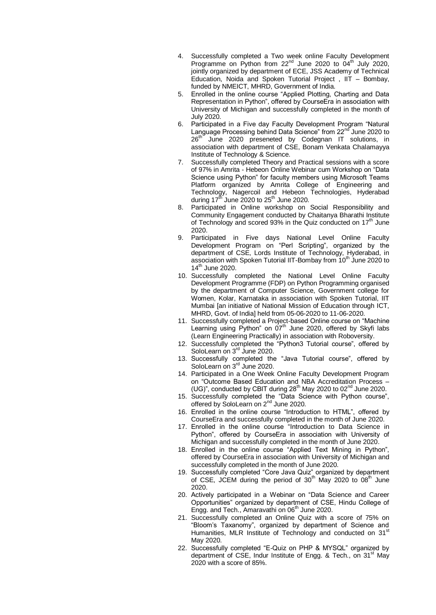- 4. Successfully completed a Two week online Faculty Development Programme on Python from 22<sup>nd</sup> June 2020 to 04<sup>th</sup> July 2020, jointly organized by department of ECE, JSS Academy of Technical Education, Noida and Spoken Tutorial Project , IIT – Bombay, funded by NMEICT, MHRD, Government of India.
- 5. Enrolled in the online course "Applied Plotting, Charting and Data Representation in Python", offered by CourseEra in association with University of Michigan and successfully completed in the month of July 2020.
- 6. Participated in a Five day Faculty Development Program "Natural Language Processing behind Data Science" from 22<sup>nd</sup> June 2020 to 26<sup>th</sup> June 2020 preseneted by Codegnan IT solutions, in association with department of CSE, Bonam Venkata Chalamayya Institute of Technology & Science.
- 7. Successfully completed Theory and Practical sessions with a score of 97% in Amrita - Hebeon Online Webinar cum Workshop on "Data Science using Python" for faculty members using Microsoft Teams Platform organized by Amrita College of Engineering and Technology, Nagercoil and Hebeon Technologies, Hyderabad during 17<sup>th</sup> June 2020 to 25<sup>th</sup> June 2020.
- 8. Participated in Online workshop on Social Responsibility and Community Engagement conducted by Chaitanya Bharathi Institute of Technology and scored 93% in the Quiz conducted on  $17<sup>th</sup>$  June 2020.
- 9. Participated in Five days National Level Online Faculty Development Program on "Perl Scripting", organized by the department of CSE, Lords Institute of Technology, Hyderabad, in association with Spoken Tutorial IIT-Bombay from 10<sup>th</sup> June 2020 to 14<sup>th</sup> June 2020.
- 10. Successfully completed the National Level Online Faculty Development Programme (FDP) on Python Programming organised by the department of Computer Science, Government college for Women, Kolar, Karnataka in association with Spoken Tutorial, IIT Mumbai [an initiative of National Mission of Education through ICT, MHRD, Govt. of India] held from 05-06-2020 to 11-06-2020.
- 11. Successfully completed a Project-based Online course on "Machine Learning using Python" on  $07<sup>th</sup>$  June 2020, offered by Skyfi labs (Learn Engineering Practically) in association with Roboversity.
- 12. Successfully completed the "Python3 Tutorial course", offered by SoloLearn on 3<sup>rd</sup> June 2020.
- 13. Successfully completed the "Java Tutorial course", offered by SoloLearn on 3<sup>rd</sup> June 2020.
- 14. Participated in a One Week Online Faculty Development Program on "Outcome Based Education and NBA Accreditation Process – (UG)", conducted by CBIT during  $28<sup>th</sup>$  May 2020 to 02<sup>nd</sup> June 2020.
- 15. Successfully completed the "Data Science with Python course", offered by SoloLearn on 2<sup>nd</sup> June 2020.
- 16. Enrolled in the online course "Introduction to HTML", offered by CourseEra and successfully completed in the month of June 2020.
- 17. Enrolled in the online course "Introduction to Data Science in Python", offered by CourseEra in association with University of Michigan and successfully completed in the month of June 2020.
- 18. Enrolled in the online course "Applied Text Mining in Python", offered by CourseEra in association with University of Michigan and successfully completed in the month of June 2020.
- 19. Successfully completed "Core Java Quiz" organized by department of CSE, JCEM during the period of  $30<sup>th</sup>$  May 2020 to  $08<sup>th</sup>$  June 2020.
- 20. Actively participated in a Webinar on "Data Science and Career Opportunities" organized by department of CSE, Hindu College of Engg. and Tech., Amaravathi on  $06<sup>th</sup>$  June 2020.
- 21. Successfully completed an Online Quiz with a score of 75% on "Bloom's Taxanomy", organized by department of Science and Humanities, MLR Institute of Technology and conducted on 31<sup>st</sup> May 2020.
- 22. Successfully completed "E-Quiz on PHP & MYSQL" organized by department of CSE, Indur Institute of Engg. & Tech., on  $31<sup>st</sup>$  May 2020 with a score of 85%.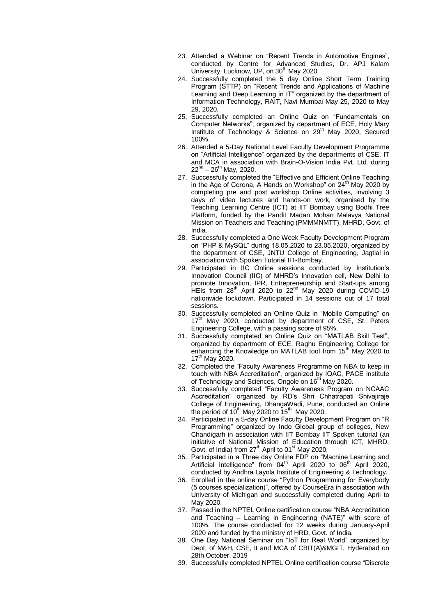- 23. Attended a Webinar on "Recent Trends in Automotive Engines", conducted by Centre for Advanced Studies, Dr. APJ Kalam University, Lucknow, UP, on  $30<sup>th</sup>$  May 2020.
- 24. Successfully completed the 5 day Online Short Term Training Program (STTP) on "Recent Trends and Applications of Machine Learning and Deep Learning in IT" organized by the department of Information Technology, RAIT, Navi Mumbai May 25, 2020 to May 29, 2020.
- 25. Successfully completed an Online Quiz on "Fundamentals on Computer Networks", organized by department of ECE, Holy Mary Institute of Technology & Science on 29<sup>th</sup> May 2020, Secured 100%.
- 26. Attended a 5-Day National Level Faculty Development Programme on "Artificial Intelligence" organized by the departments of CSE, IT and MCA in association with Brain-O-Vision India Pvt. Ltd. during 22<sup>nd</sup> – 26<sup>th</sup> May, 2020.
- 27. Successfully completed the "Effective and Efficient Online Teaching in the Age of Corona, A Hands on Workshop" on  $24<sup>th</sup>$  May 2020 by completing pre and post workshop Online activities, involving 3 days of video lectures and hands-on work, organised by the Teaching Learning Centre (ICT) at IIT Bombay using Bodhi Tree Platform, funded by the Pandit Madan Mohan Malavya National Mission on Teachers and Teaching (PMMMNMTT), MHRD, Govt. of India.
- 28. Successfully completed a One Week Faculty Development Program on "PHP & MySQL" during 18.05.2020 to 23.05.2020, organized by the department of CSE, JNTU College of Engineering, Jagtial in association with Spoken Tutorial IIT-Bombay.
- 29. Participated in IIC Online sessions conducted by Institution's Innovation Council (IIC) of MHRD's Innovation cell, New Delhi to promote Innovation, IPR, Entrepreneurship and Start-ups among HEIs from 28<sup>th</sup> April 2020 to 22<sup>nd</sup> May 2020 during COVID-19 nationwide lockdown. Participated in 14 sessions out of 17 total sessions.
- 30. Successfully completed an Online Quiz in "Mobile Computing" on  $17<sup>th</sup>$  May 2020, conducted by department of CSE, St. Peters Engineering College, with a passing score of 95%.
- 31. Successfully completed an Online Quiz on "MATLAB Skill Test", organized by department of ECE, Raghu Engineering College for enhancing the Knowledge on MATLAB tool from 15<sup>th</sup> May 2020 to  $17^{th}$  May 2020.
- 32. Completed the "Faculty Awareness Programme on NBA to keep in touch with NBA Accreditation", organized by IQAC, PACE Institute of Technology and Sciences, Ongole on 16<sup>th</sup> May 2020.
- 33. Successfully completed "Faculty Awareness Program on NCAAC Accreditation" organized by RD's Shri Chhatrapati Shivajiraje College of Engineering, DhangaWadi, Pune, conducted an Online the period of  $10^{th}$  May 2020 to  $15^{th}$  May 2020.
- 34. Participated in a 5-day Online Faculty Development Program on "R Programming" organized by Indo Global group of colleges, New Chandigarh in association with IIT Bombay IIT Spoken tutorial (an initiative of National Mission of Education through ICT, MHRD, Govt. of India) from  $27<sup>th</sup>$  April to 01<sup>st</sup> May 2020.
- 35. Participated in a Three day Online FDP on "Machine Learning and Artificial Intelligence" from  $04<sup>th</sup>$  April 2020 to  $06<sup>th</sup>$  April 2020, conducted by Andhra Layola Institute of Engineering & Technology.
- 36. Enrolled in the online course "Python Programming for Everybody (5 courses specialization)", offered by CourseEra in association with University of Michigan and successfully completed during April to May 2020.
- 37. Passed in the NPTEL Online certification course "NBA Accreditation and Teaching – Learning in Engineering (NATE)" with score of 100%. The course conducted for 12 weeks during January-April 2020 and funded by the ministry of HRD, Govt. of India.
- 38. One Day National Seminar on "IoT for Real World" organized by Dept. of M&H, CSE, It and MCA of CBIT(A)&MGIT, Hyderabad on 28th October, 2019
- 39. Successfully completed NPTEL Online certification course "Discrete